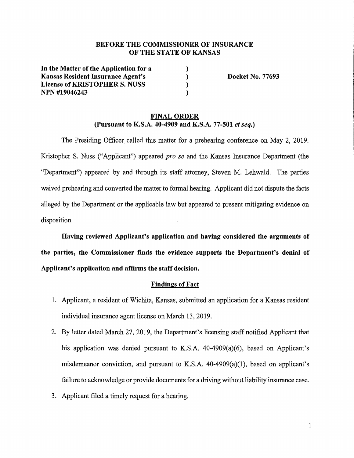# **BEFORE THE COMMISSIONER OF INSURANCE OF THE STATE OF KANSAS**

) ) ) )

**In the Matter of the Application for a Kansas Resident Insurance Agent's License of KRISTOPHER S. NUSS NPN #19046243** 

**Docket No. 77693** 

#### **FINAL ORDER (Pursuant to K.S.A. 40-4909 and K.S.A. 77-501** *et seq.)*

The Presiding Officer called this matter for a prehearing conference on May 2, 2019. Kristopher S. Nuss ("Applicant") appeared *pro se* and the Kansas Insurance Department (the "Department") appeared by and through its staff attorney, Steven M. Lehwald. The parties waived prehearing and converted the matter to formal hearing. Applicant did not dispute the facts alleged by the Department or the applicable law but appeared to present mitigating evidence on disposition.

**Having reviewed Applicant's application and having considered the arguments of the parties, the Commissioner finds the evidence supports the Department's denial of Applicant's application and affirms the staff decision.** 

#### **Findings of Fact**

- 1. Applicant, a resident of Wichita, Kansas, submitted an application for a Kansas resident individual insurance agent license on March 13, 2019.
- 2. By letter dated March 27, 2019, the Department's licensing staff notified Applicant that his application was denied pursuant to K.S.A. 40-4909(a)(6), based on Applicant's misdemeanor conviction, and pursuant to K.S.A. 40-4909(a)(l), based on applicant's failure to acknowledge or provide documents for a driving without liability insurance case.
- 3. Applicant filed a timely request for a hearing.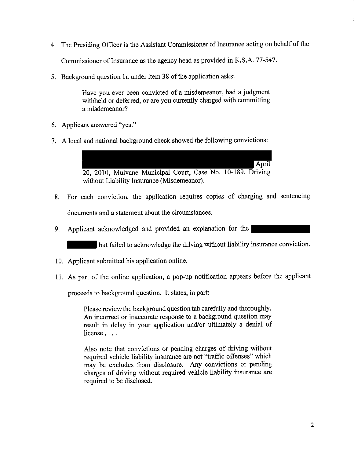- 4. The Presiding Officer is the Assistant Commissioner of Insurance acting on behalf of the Commissioner of Insurance as the agency head as provided in K.S.A. 77-547.
- 5. Background question la under item 38 of the application asks:

Have you ever been convicted of a misdemeanor, had a judgment withheld or deferred, or are you currently charged with committing a misdemeanor?

- 6. Applicant answered "yes."
- 7. A local and national background check showed the following convictions:

April 20, 2010, Mulvane Municipal Court, Case No. 10-189, Driving without Liability Insurance (Misdemeanor).

- 8. For each conviction, the application requires copies of charging and sentencing documents and a statement about the circumstances.
- 9. Applicant acknowledged and provided an explanation for the

but failed to acknowledge the driving without liability insurance conviction.

- 10. Applicant submitted his application online.
- 11. As part of the online application, a pop-up notification appears before the applicant

proceeds to background question. It states, in part:

Please review the background question tab carefully and thoroughly. An incorrect or inaccurate response to a background question may result in delay in your application and/or ultimately a denial of license . . . .

Also note that convictions or pending charges of driving without required vehicle liability insurance are not "traffic offenses" which may be excludes from disclosure. Any convictions or pending charges of driving without required vehicle liability insurance are required to be disclosed.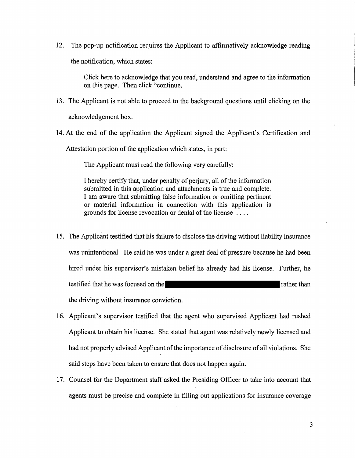12. The pop-up notification requires the Applicant to affirmatively acknowledge reading the notification, which states:

> Click here to acknowledge that you read, understand and agree to the information on this page. Then click "continue.

- 13. The Applicant is not able to proceed to the background questions until clicking on the acknowledgement box.
- 14. At the end of the application the Applicant signed the Applicant's Certification and Attestation portion of the application which states, in part:

The Applicant must read the following very carefully:

I hereby certify that, under penalty of perjury, all of the information submitted in this application and attachments is true and complete. I am aware that submitting false information or omitting pertinent or material information in connection with this application 1s grounds for license revocation or denial of the license ....

- 15, The Applicant testified that his failure to disclose the driving without liability insurance was unintentional. He said he was under a great deal of pressure because he had been hired under his supervisor's mistaken belief he already had his license. Further, he testified that he was focused on the rather than rather than the driving without insurance conviction.
- 16. Applicant's supervisor testified that the agent who supervised Applicant had rushed Applicant to obtain his license. She stated that agent was relatively newly licensed and had not properly advised Applicant of the importance of disclosure of all violations. She said steps have been taken to ensure that does not happen again.
- 17. Counsel for the Department staff asked the Presiding Officer to take into account that agents must be precise and complete in filling out applications for insurance coverage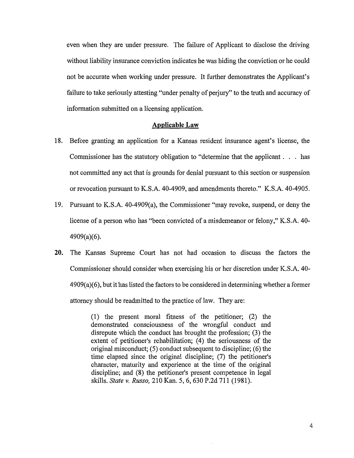even when they are under pressure. The failure of Applicant to disclose the driving without liability insurance conviction indicates he was hiding the conviction or he could not be accurate when working under pressure. It further demonstrates the Applicant's failure to take seriously attesting "under penalty of perjury" to the truth and accuracy of information submitted on a licensing application.

#### **Applicable Law**

- 18. Before granting an application for a Kansas resident insurance agent's license, the Commissioner has the statutory obligation to "determine that the applicant . . . has not committed any act that is grounds for denial pursuant to this section or suspension or revocation pursuant to K.S.A. 40-4909, and amendments thereto." K.S.A. 40-4905.
- 19. Pursuant to K.S.A. 40-4909(a), the Commissioner ''may revoke, suspend, or deny the license of a person who has "been convicted of a misdemeanor or felony," K.S.A. 40- 4909(a)(6).
- **20.** The Kansas Supreme Court has not had occasion to discuss the factors the Commissioner should consider when exercising his or her discretion under K.S.A. 40-  $4909(a)(6)$ , but it has listed the factors to be considered in determining whether a former attorney should be readmitted to the practice of law. They are:

(1) the present moral fitness of the petitioner; (2) the demonstrated consciousness of the wrongful conduct and disrepute which the conduct has brought the profession; (3) the extent of petitioner's rehabilitation; (4) the seriousness of the original misconduct; (5) conduct subsequent to discipline; (6) the time elapsed since the original discipline; (7) the petitioner's character, maturity and experience at the time of the original discipline; and (8) the petitioner's present competence in legal skills. *State* v. *Russo,* 210 Kan. 5, 6,630 P.2d 711 (1981).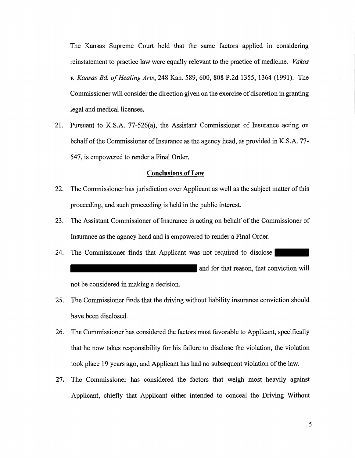The Kansas Supreme Court held that the same factors applied in considering reinstatement to practice law were equally relevant to the practice of medicine. *Vakas v. Kansas Bd. of Healing Arts,* 248 Kan. 589, 600, 808 P.2d 1355, 1364 (1991). The Commissioner will consider the direction given on the exercise of discretion in granting legal and medical licenses.

21. Pursuant to K.S.A. 77-526(a), the Assistant Commissioner of Insurance acting on behalf of the Commissioner of Insurance as the agency head, as provided in K.S.A. 77-547, is empowered to render a Final Order.

#### **Conclusions of Law**

- 22. The Commissioner has jurisdiction over Applicant as well as the subject matter of this proceeding, and such proceeding is held in the public interest.
- 23. The Assistant Commissioner of Insurance is acting on behalf of the Commissioner of Insurance as the agency head and is empowered to render a Final Order.
- 24. The Commissioner finds that Applicant was not required to disclose and for that reason, that conviction will not be considered in making a decision.

25. The Commissioner finds that the driving without liability insurance conviction should have been disclosed.

- 26. The Commissioner has considered the factors most favorable to Applicant, specifically that he now takes responsibility for his failure to disclose the violation, the violation took place 19 years ago, and Applicant has had no subsequent violation of the law.
- **27.** The Commissioner has considered the factors that weigh most heavily against Applicant, chiefly that Applicant either intended to conceal the Driving Without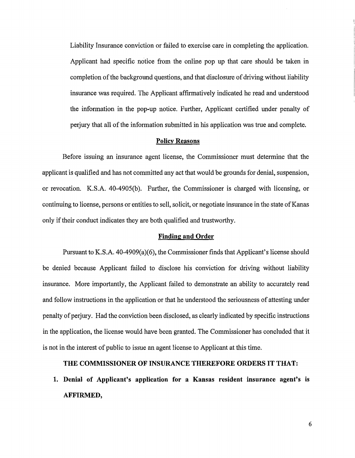Liability Insurance conviction or failed to exercise care in completing the application. Applicant had specific notice from the online pop up that care should be taken in completion of the background questions, and that disclosure of driving without liability insurance was required. The Applicant affirmatively indicated he read and understood the information in the pop-up notice. Further, Applicant certified under penalty of perjury that all of the information submitted in his application was true and complete.

# **Policy Reasons**

Before issuing an insurance agent license, the Commissioner must determine that the applicant is qualified and has not committed any act that would be grounds for denial, suspension, or revocation. K.S.A. 40-4905(b). Further, the Commissioner is charged with licensing, or continuing to license, persons or entities to sell, solicit, or negotiate insurance in the state of Kanas only if their conduct indicates they are both qualified and trustworthy.

# **Finding and Order**

Pursuant to K.S.A. 40-4909(a)(6), the Commissioner finds that Applicant's license should be denied because Applicant failed to disclose his conviction for driving without liability insurance. More importantly, the Applicant failed to demonstrate an ability to accurately read and follow instructions in the application or that he understood the seriousness of attesting under penalty of perjury. Had the conviction been disclosed, as clearly indicated by specific instructions in the application, the license would have been granted. The Commissioner has concluded that it is not in the interest of public to issue an agent license to Applicant at this time.

# **THE COMMISSIONER OF INSURANCE THEREFORE ORDERS IT THAT:**

**1. Denial of Applicant's application for a Kansas resident insurance agent's is AFFIRMED,**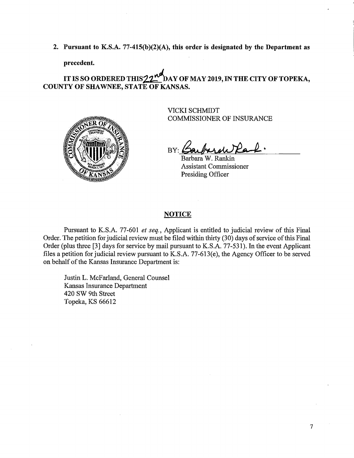**2. Pursuant to K.S.A. 77-415(b)(2)(A), this order is designated by the Department as** 

**precedent.** 

IT IS SO ORDERED THIS 22<sup>nd</sup> DAY OF MAY 2019, IN THE CITY OF TOPEKA, **COUNTY OF SHAWNEE, STATE OF KANSAS.** 



VICKI SCHMIDT COMMISSIONER OF INSURANCE

BY: Carboral Park.

Barbara W. Rankin Assistant Commissioner Presiding Officer

# **NOTICE**

Pursuant to K.S.A. 77-601 *et seq.,* Applicant is entitled to judicial review of this Final Order. The petition for judicial review must be filed within thhiy (30) days of service of this Final Order (plus three [3] days for service by mail pursuant to K.S.A. 77-531). In the event Applicant files a petition for judicial review pursuant to K.S.A. 77-613(e), the Agency Officer to be served on behalf of the Kansas Insurance Department is:

Justin L. McFarland, General Counsel Kansas Insurance Department 420 SW 9th Street Topeka, KS 66612